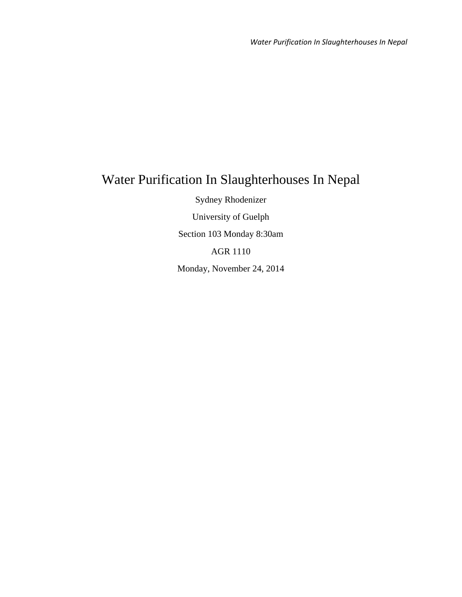# Water Purification In Slaughterhouses In Nepal

Sydney Rhodenizer University of Guelph Section 103 Monday 8:30am AGR 1110 Monday, November 24, 2014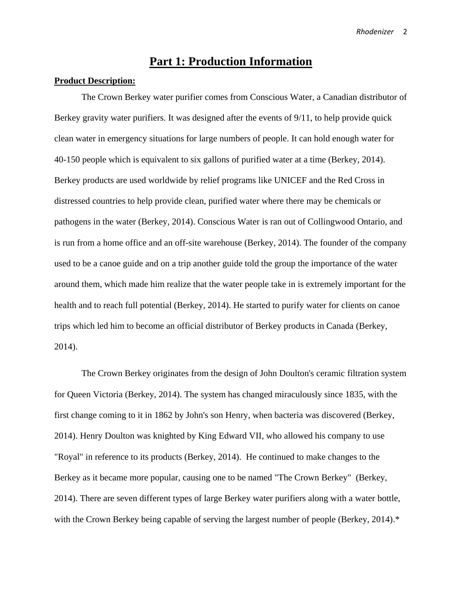## **Part 1: Production Information**

#### **Product Description:**

The Crown Berkey water purifier comes from Conscious Water, a Canadian distributor of Berkey gravity water purifiers. It was designed after the events of 9/11, to help provide quick clean water in emergency situations for large numbers of people. It can hold enough water for 40-150 people which is equivalent to six gallons of purified water at a time (Berkey, 2014). Berkey products are used worldwide by relief programs like UNICEF and the Red Cross in distressed countries to help provide clean, purified water where there may be chemicals or pathogens in the water (Berkey, 2014). Conscious Water is ran out of Collingwood Ontario, and is run from a home office and an off-site warehouse (Berkey, 2014). The founder of the company used to be a canoe guide and on a trip another guide told the group the importance of the water around them, which made him realize that the water people take in is extremely important for the health and to reach full potential (Berkey, 2014). He started to purify water for clients on canoe trips which led him to become an official distributor of Berkey products in Canada (Berkey, 2014).

The Crown Berkey originates from the design of John Doulton's ceramic filtration system for Queen Victoria (Berkey, 2014). The system has changed miraculously since 1835, with the first change coming to it in 1862 by John's son Henry, when bacteria was discovered (Berkey, 2014). Henry Doulton was knighted by King Edward VII, who allowed his company to use "Royal" in reference to its products (Berkey, 2014). He continued to make changes to the Berkey as it became more popular, causing one to be named "The Crown Berkey" (Berkey, 2014). There are seven different types of large Berkey water purifiers along with a water bottle, with the Crown Berkey being capable of serving the largest number of people (Berkey, 2014).<sup>\*</sup>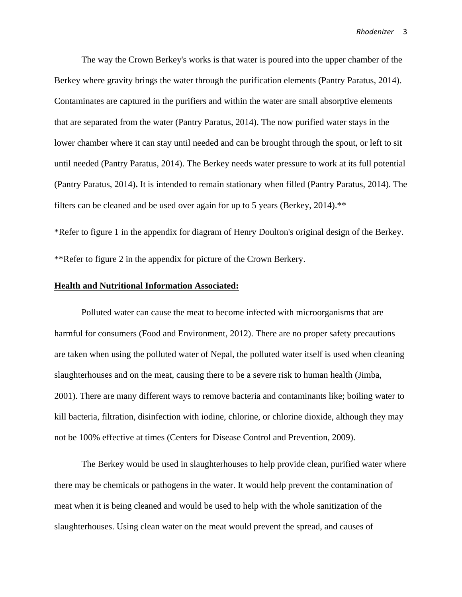The way the Crown Berkey's works is that water is poured into the upper chamber of the Berkey where gravity brings the water through the purification elements (Pantry Paratus, 2014). Contaminates are captured in the purifiers and within the water are small absorptive elements that are separated from the water (Pantry Paratus, 2014). The now purified water stays in the lower chamber where it can stay until needed and can be brought through the spout, or left to sit until needed (Pantry Paratus, 2014). The Berkey needs water pressure to work at its full potential (Pantry Paratus, 2014)**.** It is intended to remain stationary when filled (Pantry Paratus, 2014). The filters can be cleaned and be used over again for up to 5 years (Berkey, 2014).\*\*

\*Refer to figure 1 in the appendix for diagram of Henry Doulton's original design of the Berkey. \*\*Refer to figure 2 in the appendix for picture of the Crown Berkery.

#### **Health and Nutritional Information Associated:**

Polluted water can cause the meat to become infected with microorganisms that are harmful for consumers (Food and Environment, 2012). There are no proper safety precautions are taken when using the polluted water of Nepal, the polluted water itself is used when cleaning slaughterhouses and on the meat, causing there to be a severe risk to human health (Jimba, 2001). There are many different ways to remove bacteria and contaminants like; boiling water to kill bacteria, filtration, disinfection with iodine, chlorine, or chlorine dioxide, although they may not be 100% effective at times (Centers for Disease Control and Prevention, 2009).

The Berkey would be used in slaughterhouses to help provide clean, purified water where there may be chemicals or pathogens in the water. It would help prevent the contamination of meat when it is being cleaned and would be used to help with the whole sanitization of the slaughterhouses. Using clean water on the meat would prevent the spread, and causes of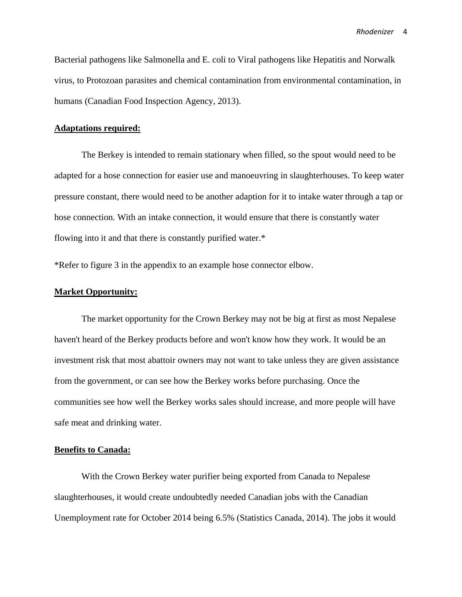Bacterial pathogens like Salmonella and E. coli to Viral pathogens like Hepatitis and Norwalk virus, to Protozoan parasites and chemical contamination from environmental contamination, in humans (Canadian Food Inspection Agency, 2013).

#### **Adaptations required:**

The Berkey is intended to remain stationary when filled, so the spout would need to be adapted for a hose connection for easier use and manoeuvring in slaughterhouses. To keep water pressure constant, there would need to be another adaption for it to intake water through a tap or hose connection. With an intake connection, it would ensure that there is constantly water flowing into it and that there is constantly purified water.\*

\*Refer to figure 3 in the appendix to an example hose connector elbow.

#### **Market Opportunity:**

The market opportunity for the Crown Berkey may not be big at first as most Nepalese haven't heard of the Berkey products before and won't know how they work. It would be an investment risk that most abattoir owners may not want to take unless they are given assistance from the government, or can see how the Berkey works before purchasing. Once the communities see how well the Berkey works sales should increase, and more people will have safe meat and drinking water.

#### **Benefits to Canada:**

With the Crown Berkey water purifier being exported from Canada to Nepalese slaughterhouses, it would create undoubtedly needed Canadian jobs with the Canadian Unemployment rate for October 2014 being 6.5% (Statistics Canada, 2014). The jobs it would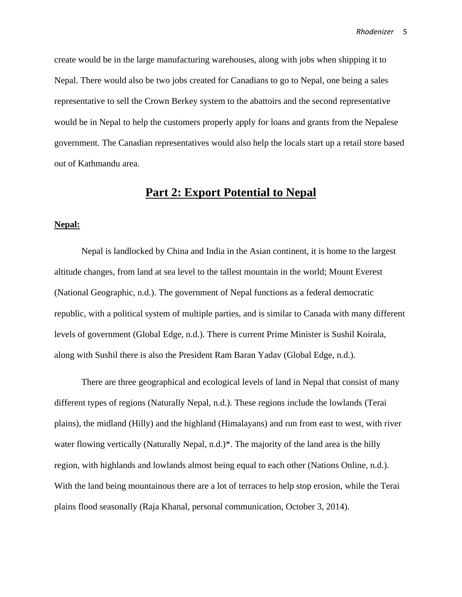create would be in the large manufacturing warehouses, along with jobs when shipping it to Nepal. There would also be two jobs created for Canadians to go to Nepal, one being a sales representative to sell the Crown Berkey system to the abattoirs and the second representative would be in Nepal to help the customers properly apply for loans and grants from the Nepalese government. The Canadian representatives would also help the locals start up a retail store based out of Kathmandu area.

## **Part 2: Export Potential to Nepal**

#### **Nepal:**

Nepal is landlocked by China and India in the Asian continent, it is home to the largest altitude changes, from land at sea level to the tallest mountain in the world; Mount Everest (National Geographic, n.d.). The government of Nepal functions as a federal democratic republic, with a political system of multiple parties, and is similar to Canada with many different levels of government (Global Edge, n.d.). There is current Prime Minister is Sushil Koirala, along with Sushil there is also the President Ram Baran Yadav (Global Edge, n.d.).

There are three geographical and ecological levels of land in Nepal that consist of many different types of regions (Naturally Nepal, n.d.). These regions include the lowlands (Terai plains), the midland (Hilly) and the highland (Himalayans) and run from east to west, with river water flowing vertically (Naturally Nepal, n.d.)\*. The majority of the land area is the hilly region, with highlands and lowlands almost being equal to each other (Nations Online, n.d.). With the land being mountainous there are a lot of terraces to help stop erosion, while the Terai plains flood seasonally (Raja Khanal, personal communication, October 3, 2014).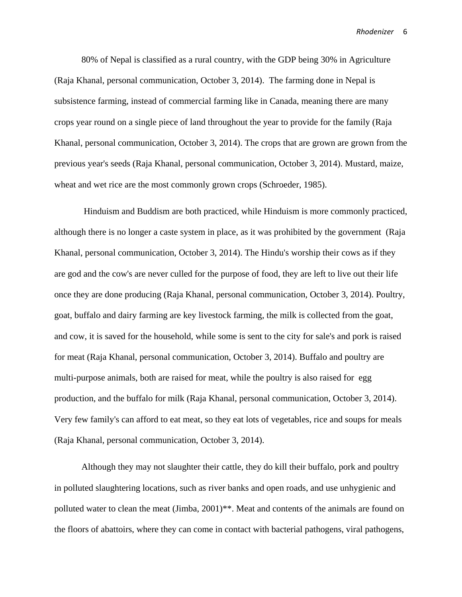80% of Nepal is classified as a rural country, with the GDP being 30% in Agriculture (Raja Khanal, personal communication, October 3, 2014). The farming done in Nepal is subsistence farming, instead of commercial farming like in Canada, meaning there are many crops year round on a single piece of land throughout the year to provide for the family (Raja Khanal, personal communication, October 3, 2014). The crops that are grown are grown from the previous year's seeds (Raja Khanal, personal communication, October 3, 2014). Mustard, maize, wheat and wet rice are the most commonly grown crops (Schroeder, 1985).

Hinduism and Buddism are both practiced, while Hinduism is more commonly practiced, although there is no longer a caste system in place, as it was prohibited by the government (Raja Khanal, personal communication, October 3, 2014). The Hindu's worship their cows as if they are god and the cow's are never culled for the purpose of food, they are left to live out their life once they are done producing (Raja Khanal, personal communication, October 3, 2014). Poultry, goat, buffalo and dairy farming are key livestock farming, the milk is collected from the goat, and cow, it is saved for the household, while some is sent to the city for sale's and pork is raised for meat (Raja Khanal, personal communication, October 3, 2014). Buffalo and poultry are multi-purpose animals, both are raised for meat, while the poultry is also raised for egg production, and the buffalo for milk (Raja Khanal, personal communication, October 3, 2014). Very few family's can afford to eat meat, so they eat lots of vegetables, rice and soups for meals (Raja Khanal, personal communication, October 3, 2014).

Although they may not slaughter their cattle, they do kill their buffalo, pork and poultry in polluted slaughtering locations, such as river banks and open roads, and use unhygienic and polluted water to clean the meat (Jimba, 2001)<sup>\*\*</sup>. Meat and contents of the animals are found on the floors of abattoirs, where they can come in contact with bacterial pathogens, viral pathogens,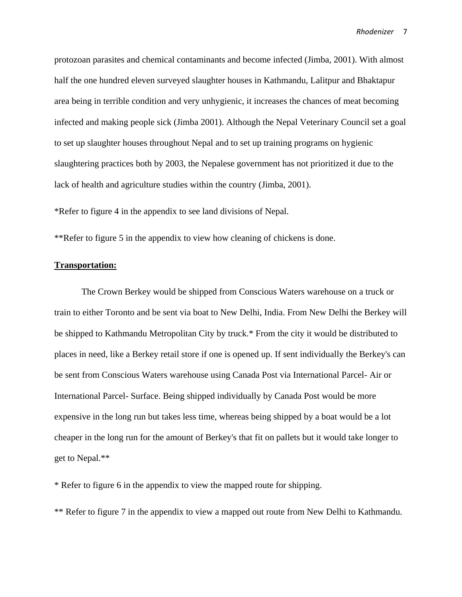protozoan parasites and chemical contaminants and become infected (Jimba, 2001). With almost half the one hundred eleven surveyed slaughter houses in Kathmandu, Lalitpur and Bhaktapur area being in terrible condition and very unhygienic, it increases the chances of meat becoming infected and making people sick (Jimba 2001). Although the Nepal Veterinary Council set a goal to set up slaughter houses throughout Nepal and to set up training programs on hygienic slaughtering practices both by 2003, the Nepalese government has not prioritized it due to the lack of health and agriculture studies within the country (Jimba, 2001).

\*Refer to figure 4 in the appendix to see land divisions of Nepal.

\*\*Refer to figure 5 in the appendix to view how cleaning of chickens is done.

#### **Transportation:**

The Crown Berkey would be shipped from Conscious Waters warehouse on a truck or train to either Toronto and be sent via boat to New Delhi, India. From New Delhi the Berkey will be shipped to Kathmandu Metropolitan City by truck.\* From the city it would be distributed to places in need, like a Berkey retail store if one is opened up. If sent individually the Berkey's can be sent from Conscious Waters warehouse using Canada Post via International Parcel- Air or International Parcel- Surface. Being shipped individually by Canada Post would be more expensive in the long run but takes less time, whereas being shipped by a boat would be a lot cheaper in the long run for the amount of Berkey's that fit on pallets but it would take longer to get to Nepal.\*\*

\* Refer to figure 6 in the appendix to view the mapped route for shipping.

\*\* Refer to figure 7 in the appendix to view a mapped out route from New Delhi to Kathmandu.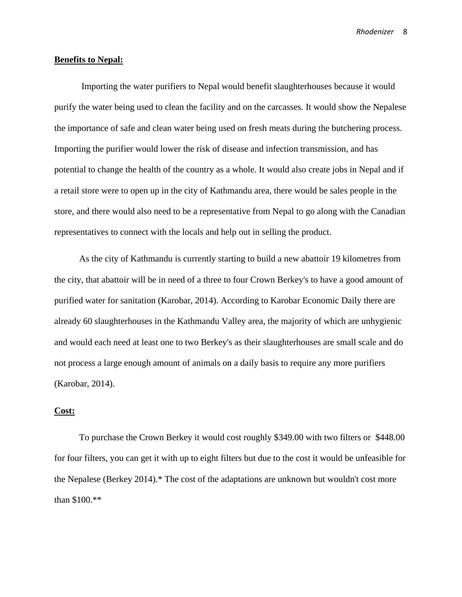#### **Benefits to Nepal:**

Importing the water purifiers to Nepal would benefit slaughterhouses because it would purify the water being used to clean the facility and on the carcasses. It would show the Nepalese the importance of safe and clean water being used on fresh meats during the butchering process. Importing the purifier would lower the risk of disease and infection transmission, and has potential to change the health of the country as a whole. It would also create jobs in Nepal and if a retail store were to open up in the city of Kathmandu area, there would be sales people in the store, and there would also need to be a representative from Nepal to go along with the Canadian representatives to connect with the locals and help out in selling the product.

 As the city of Kathmandu is currently starting to build a new abattoir 19 kilometres from the city, that abattoir will be in need of a three to four Crown Berkey's to have a good amount of purified water for sanitation (Karobar, 2014). According to Karobar Economic Daily there are already 60 slaughterhouses in the Kathmandu Valley area, the majority of which are unhygienic and would each need at least one to two Berkey's as their slaughterhouses are small scale and do not process a large enough amount of animals on a daily basis to require any more purifiers (Karobar, 2014).

#### **Cost:**

 To purchase the Crown Berkey it would cost roughly \$349.00 with two filters or \$448.00 for four filters, you can get it with up to eight filters but due to the cost it would be unfeasible for the Nepalese (Berkey 2014).\* The cost of the adaptations are unknown but wouldn't cost more than \$100.\*\*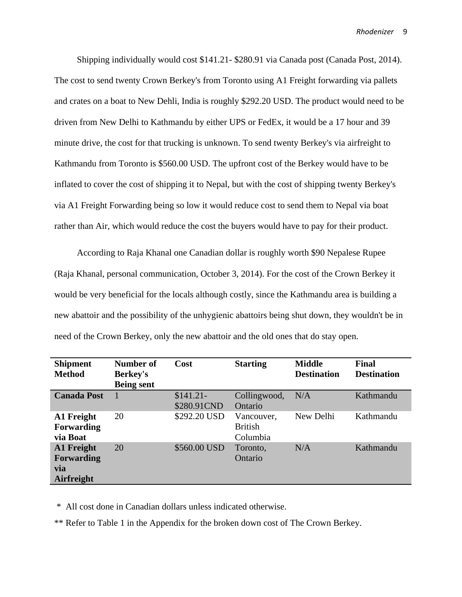Shipping individually would cost \$141.21- \$280.91 via Canada post (Canada Post, 2014). The cost to send twenty Crown Berkey's from Toronto using A1 Freight forwarding via pallets and crates on a boat to New Dehli, India is roughly \$292.20 USD. The product would need to be driven from New Delhi to Kathmandu by either UPS or FedEx, it would be a 17 hour and 39 minute drive, the cost for that trucking is unknown. To send twenty Berkey's via airfreight to Kathmandu from Toronto is \$560.00 USD. The upfront cost of the Berkey would have to be inflated to cover the cost of shipping it to Nepal, but with the cost of shipping twenty Berkey's via A1 Freight Forwarding being so low it would reduce cost to send them to Nepal via boat rather than Air, which would reduce the cost the buyers would have to pay for their product.

 According to Raja Khanal one Canadian dollar is roughly worth \$90 Nepalese Rupee (Raja Khanal, personal communication, October 3, 2014). For the cost of the Crown Berkey it would be very beneficial for the locals although costly, since the Kathmandu area is building a new abattoir and the possibility of the unhygienic abattoirs being shut down, they wouldn't be in need of the Crown Berkey, only the new abattoir and the old ones that do stay open.

| <b>Shipment</b><br><b>Method</b>                     | Number of<br><b>Berkey's</b><br><b>Being sent</b> | Cost                      | <b>Starting</b>                          | <b>Middle</b><br><b>Destination</b> | Final<br><b>Destination</b> |
|------------------------------------------------------|---------------------------------------------------|---------------------------|------------------------------------------|-------------------------------------|-----------------------------|
| <b>Canada Post</b>                                   |                                                   | $$141.21-$<br>\$280.91CND | Collingwood,<br>Ontario                  | N/A                                 | Kathmandu                   |
| A1 Freight<br><b>Forwarding</b><br>via Boat          | 20                                                | \$292.20 USD              | Vancouver,<br><b>British</b><br>Columbia | New Delhi                           | Kathmandu                   |
| A1 Freight<br><b>Forwarding</b><br>via<br>Airfreight | 20                                                | \$560.00 USD              | Toronto,<br>Ontario                      | N/A                                 | Kathmandu                   |

\* All cost done in Canadian dollars unless indicated otherwise.

\*\* Refer to Table 1 in the Appendix for the broken down cost of The Crown Berkey.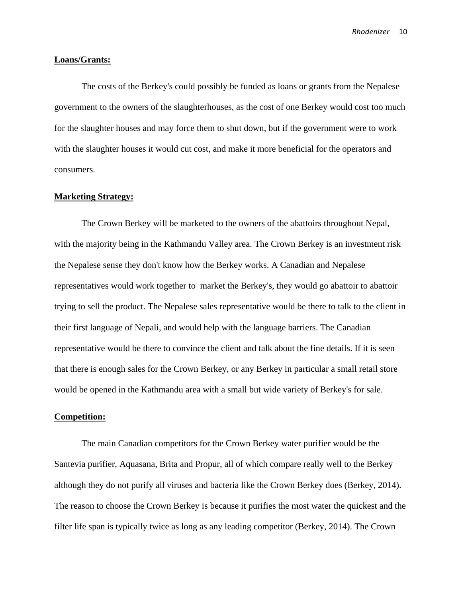#### **Loans/Grants:**

The costs of the Berkey's could possibly be funded as loans or grants from the Nepalese government to the owners of the slaughterhouses, as the cost of one Berkey would cost too much for the slaughter houses and may force them to shut down, but if the government were to work with the slaughter houses it would cut cost, and make it more beneficial for the operators and consumers.

#### **Marketing Strategy:**

The Crown Berkey will be marketed to the owners of the abattoirs throughout Nepal, with the majority being in the Kathmandu Valley area. The Crown Berkey is an investment risk the Nepalese sense they don't know how the Berkey works. A Canadian and Nepalese representatives would work together to market the Berkey's, they would go abattoir to abattoir trying to sell the product. The Nepalese sales representative would be there to talk to the client in their first language of Nepali, and would help with the language barriers. The Canadian representative would be there to convince the client and talk about the fine details. If it is seen that there is enough sales for the Crown Berkey, or any Berkey in particular a small retail store would be opened in the Kathmandu area with a small but wide variety of Berkey's for sale.

#### **Competition:**

The main Canadian competitors for the Crown Berkey water purifier would be the Santevia purifier, Aquasana, Brita and Propur, all of which compare really well to the Berkey although they do not purify all viruses and bacteria like the Crown Berkey does (Berkey, 2014). The reason to choose the Crown Berkey is because it purifies the most water the quickest and the filter life span is typically twice as long as any leading competitor (Berkey, 2014). The Crown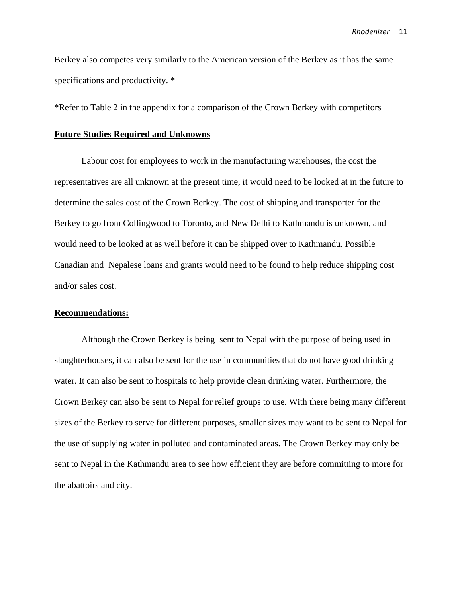Berkey also competes very similarly to the American version of the Berkey as it has the same specifications and productivity. \*

\*Refer to Table 2 in the appendix for a comparison of the Crown Berkey with competitors

#### **Future Studies Required and Unknowns**

Labour cost for employees to work in the manufacturing warehouses, the cost the representatives are all unknown at the present time, it would need to be looked at in the future to determine the sales cost of the Crown Berkey. The cost of shipping and transporter for the Berkey to go from Collingwood to Toronto, and New Delhi to Kathmandu is unknown, and would need to be looked at as well before it can be shipped over to Kathmandu. Possible Canadian and Nepalese loans and grants would need to be found to help reduce shipping cost and/or sales cost.

#### **Recommendations:**

Although the Crown Berkey is being sent to Nepal with the purpose of being used in slaughterhouses, it can also be sent for the use in communities that do not have good drinking water. It can also be sent to hospitals to help provide clean drinking water. Furthermore, the Crown Berkey can also be sent to Nepal for relief groups to use. With there being many different sizes of the Berkey to serve for different purposes, smaller sizes may want to be sent to Nepal for the use of supplying water in polluted and contaminated areas. The Crown Berkey may only be sent to Nepal in the Kathmandu area to see how efficient they are before committing to more for the abattoirs and city.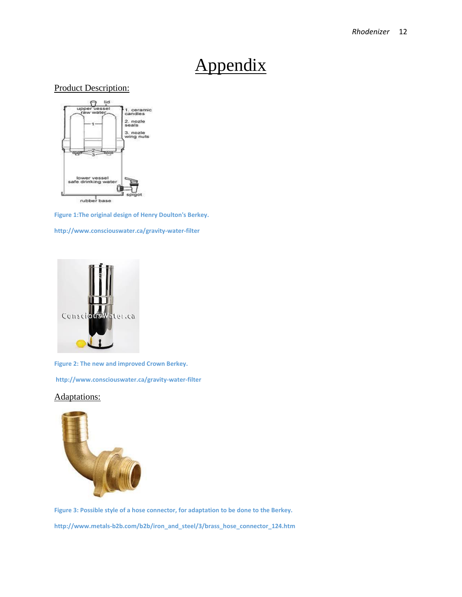# Appendix

#### Product Description:



**Figure 1:The original design of Henry Doulton's Berkey.** 

**http://www.consciouswater.ca/gravity-water-filter**



**Figure 2: The new and improved Crown Berkey.**

**http://www.consciouswater.ca/gravity-water-filter**

#### Adaptations:



**Figure 3: Possible style of a hose connector, for adaptation to be done to the Berkey. http://www.metals-b2b.com/b2b/iron\_and\_steel/3/brass\_hose\_connector\_124.htm**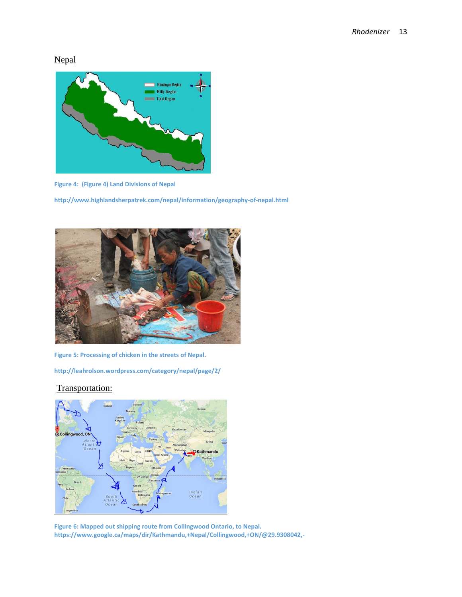Nepal



**Figure 4: (Figure 4) Land Divisions of Nepal** 

**http://www.highlandsherpatrek.com/nepal/information/geography-of-nepal.html**



**Figure 5: Processing of chicken in the streets of Nepal.** 

**http://leahrolson.wordpress.com/category/nepal/page/2/**

#### Transportation:



**Figure 6: Mapped out shipping route from Collingwood Ontario, to Nepal. https://www.google.ca/maps/dir/Kathmandu,+Nepal/Collingwood,+ON/@29.9308042,-**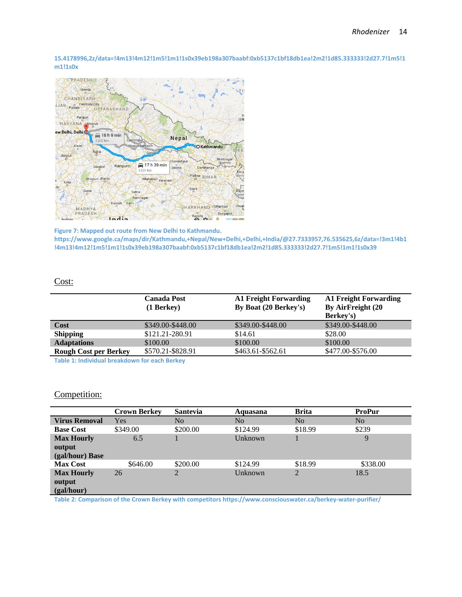**15.4178996,2z/data=!4m13!4m12!1m5!1m1!1s0x39eb198a307baabf:0xb5137c1bf18db1ea!2m2!1d85.333333!2d27.7!1m5!1 m1!1s0x**



**Figure 7: Mapped out route from New Delhi to Kathmandu. https://www.google.ca/maps/dir/Kathmandu,+Nepal/New+Delhi,+Delhi,+India/@27.7333957,76.535625,6z/data=!3m1!4b1 !4m13!4m12!1m5!1m1!1s0x39eb198a307baabf:0xb5137c1bf18db1ea!2m2!1d85.333333!2d27.7!1m5!1m1!1s0x39**

#### Cost:

|                              | <b>Canada Post</b><br>$(1$ Berkey $)$ | <b>A1 Freight Forwarding</b><br>By Boat (20 Berkey's) | <b>A1 Freight Forwarding</b><br>By AirFreight (20<br><b>Berkey's)</b> |
|------------------------------|---------------------------------------|-------------------------------------------------------|-----------------------------------------------------------------------|
| Cost                         | \$349.00-\$448.00                     | \$349.00-\$448.00                                     | \$349.00-\$448.00                                                     |
| <b>Shipping</b>              | \$121.21-280.91                       | \$14.61                                               | \$28.00                                                               |
| <b>Adaptations</b>           | \$100.00                              | \$100.00                                              | \$100.00                                                              |
| <b>Rough Cost per Berkey</b> | \$570.21-\$828.91                     | \$463.61-\$562.61                                     | \$477.00-\$576.00                                                     |
|                              |                                       |                                                       |                                                                       |

**Table 1: Individual breakdown for each Berkey**

#### Competition:

|                      | <b>Crown Berkey</b> | <b>Santevia</b> | Aquasana       | <b>Brita</b>   | <b>ProPur</b>  |
|----------------------|---------------------|-----------------|----------------|----------------|----------------|
| <b>Virus Removal</b> | Yes                 | No              | N <sub>0</sub> | N <sub>0</sub> | N <sub>0</sub> |
| <b>Base Cost</b>     | \$349.00            | \$200.00        | \$124.99       | \$18.99        | \$239          |
| <b>Max Hourly</b>    | 6.5                 |                 | Unknown        |                | 9              |
| output               |                     |                 |                |                |                |
| (gal/hour) Base      |                     |                 |                |                |                |
| <b>Max Cost</b>      | \$646.00            | \$200.00        | \$124.99       | \$18.99        | \$338.00       |
| <b>Max Hourly</b>    | 26                  | 2               | Unknown        | 2              | 18.5           |
| output               |                     |                 |                |                |                |
| (gal/hour)           |                     |                 |                |                |                |

**Table 2: Comparison of the Crown Berkey with competitors https://www.consciouswater.ca/berkey-water-purifier/**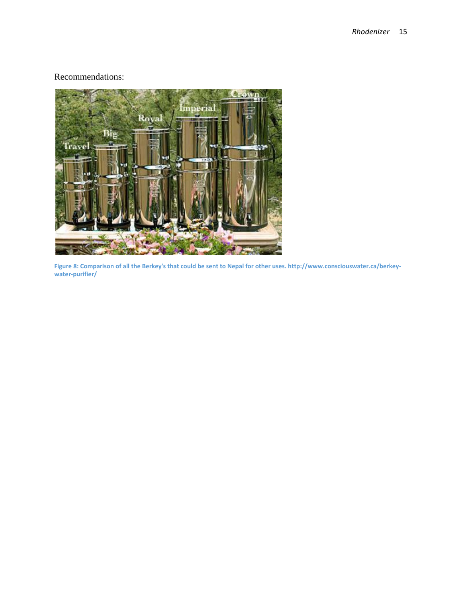### Recommendations:



**Figure 8: Comparison of all the Berkey's that could be sent to Nepal for other uses. http://www.consciouswater.ca/berkeywater-purifier/**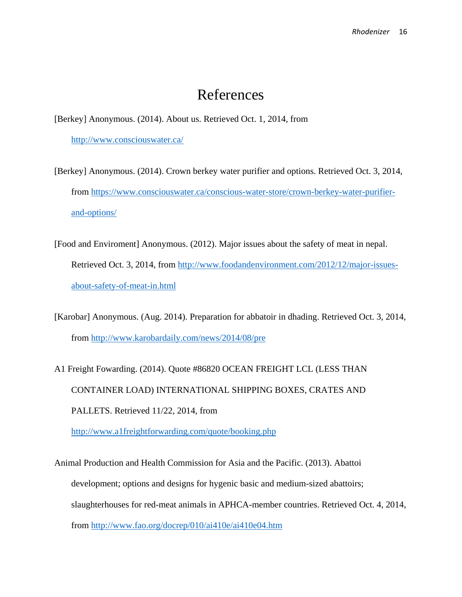## References

[Berkey] Anonymous. (2014). About us. Retrieved Oct. 1, 2014, from <http://www.consciouswater.ca/>

- [Berkey] Anonymous. (2014). Crown berkey water purifier and options. Retrieved Oct. 3, 2014, from [https://www.consciouswater.ca/conscious-water-store/crown-berkey-water-purifier](https://www.consciouswater.ca/conscious-water-store/crown-berkey-water-purifier-and-options/)[and-options/](https://www.consciouswater.ca/conscious-water-store/crown-berkey-water-purifier-and-options/)
- [Food and Enviroment] Anonymous. (2012). Major issues about the safety of meat in nepal. Retrieved Oct. 3, 2014, from [http://www.foodandenvironment.com/2012/12/major-issues](http://www.foodandenvironment.com/2012/12/major-issues-about-safety-of-meat-in.html)[about-safety-of-meat-in.html](http://www.foodandenvironment.com/2012/12/major-issues-about-safety-of-meat-in.html)
- [Karobar] Anonymous. (Aug. 2014). Preparation for abbatoir in dhading. Retrieved Oct. 3, 2014, from<http://www.karobardaily.com/news/2014/08/pre>
- A1 Freight Fowarding. (2014). Quote #86820 OCEAN FREIGHT LCL (LESS THAN CONTAINER LOAD) INTERNATIONAL SHIPPING BOXES, CRATES AND PALLETS. Retrieved 11/22, 2014, from <http://www.a1freightforwarding.com/quote/booking.php>

Animal Production and Health Commission for Asia and the Pacific. (2013). Abattoi development; options and designs for hygenic basic and medium-sized abattoirs; slaughterhouses for red-meat animals in APHCA-member countries. Retrieved Oct. 4, 2014, from<http://www.fao.org/docrep/010/ai410e/ai410e04.htm>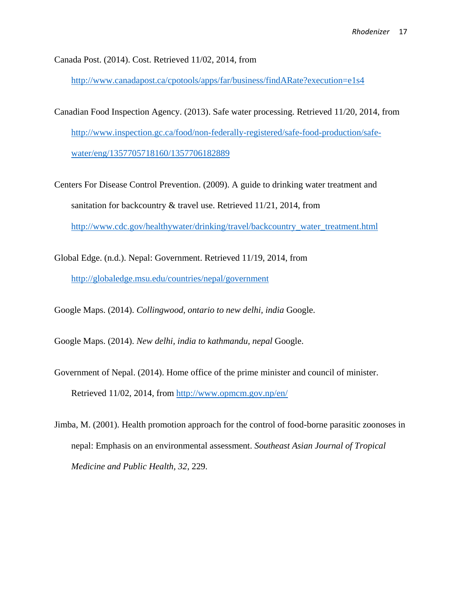Canada Post. (2014). Cost. Retrieved 11/02, 2014, from

<http://www.canadapost.ca/cpotools/apps/far/business/findARate?execution=e1s4>

- Canadian Food Inspection Agency. (2013). Safe water processing. Retrieved 11/20, 2014, from [http://www.inspection.gc.ca/food/non-federally-registered/safe-food-production/safe](http://www.inspection.gc.ca/food/non-federally-registered/safe-food-production/safe-water/eng/1357705718160/1357706182889)[water/eng/1357705718160/1357706182889](http://www.inspection.gc.ca/food/non-federally-registered/safe-food-production/safe-water/eng/1357705718160/1357706182889)
- Centers For Disease Control Prevention. (2009). A guide to drinking water treatment and sanitation for backcountry & travel use. Retrieved 11/21, 2014, from [http://www.cdc.gov/healthywater/drinking/travel/backcountry\\_water\\_treatment.html](http://www.cdc.gov/healthywater/drinking/travel/backcountry_water_treatment.html)
- Global Edge. (n.d.). Nepal: Government. Retrieved 11/19, 2014, from <http://globaledge.msu.edu/countries/nepal/government>

Google Maps. (2014). *Collingwood, ontario to new delhi, india* Google.

Google Maps. (2014). *New delhi, india to kathmandu, nepal* Google.

- Government of Nepal. (2014). Home office of the prime minister and council of minister. Retrieved 11/02, 2014, from<http://www.opmcm.gov.np/en/>
- Jimba, M. (2001). Health promotion approach for the control of food-borne parasitic zoonoses in nepal: Emphasis on an environmental assessment. *Southeast Asian Journal of Tropical Medicine and Public Health, 32*, 229.